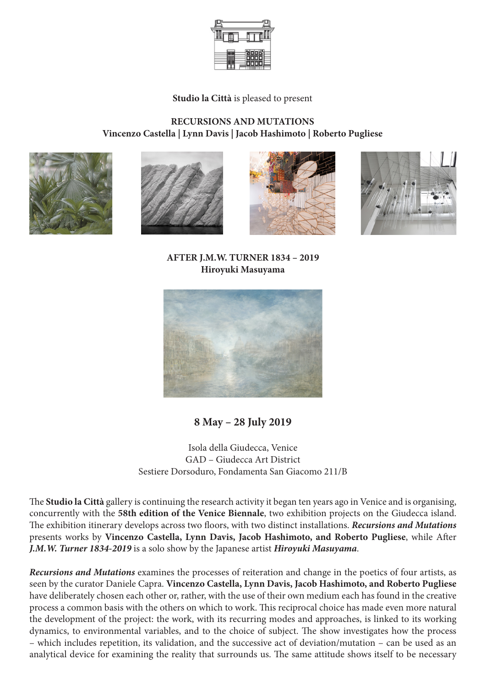

**Studio la Città** is pleased to present

## **RECURSIONS AND MUTATIONS Vincenzo Castella | Lynn Davis | Jacob Hashimoto | Roberto Pugliese**









**AFTER J.M.W. TURNER 1834 – 2019 Hiroyuki Masuyama**



**8 May – 28 July 2019**

Isola della Giudecca, Venice GAD – Giudecca Art District Sestiere Dorsoduro, Fondamenta San Giacomo 211/B

The **Studio la Città** gallery is continuing the research activity it began ten years ago in Venice and is organising, concurrently with the **58th edition of the Venice Biennale**, two exhibition projects on the Giudecca island. The exhibition itinerary develops across two floors, with two distinct installations. *Recursions and Mutations*  presents works by **Vincenzo Castella, Lynn Davis, Jacob Hashimoto, and Roberto Pugliese**, while After *J.M.W. Turner 1834-2019* is a solo show by the Japanese artist *Hiroyuki Masuyama*.

*Recursions and Mutations* examines the processes of reiteration and change in the poetics of four artists, as seen by the curator Daniele Capra. **Vincenzo Castella, Lynn Davis, Jacob Hashimoto, and Roberto Pugliese**  have deliberately chosen each other or, rather, with the use of their own medium each has found in the creative process a common basis with the others on which to work. This reciprocal choice has made even more natural the development of the project: the work, with its recurring modes and approaches, is linked to its working dynamics, to environmental variables, and to the choice of subject. The show investigates how the process – which includes repetition, its validation, and the successive act of deviation/mutation – can be used as an analytical device for examining the reality that surrounds us. The same attitude shows itself to be necessary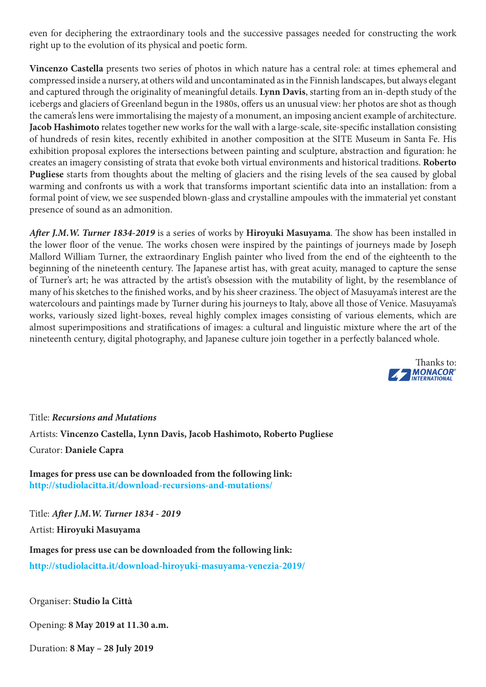even for deciphering the extraordinary tools and the successive passages needed for constructing the work right up to the evolution of its physical and poetic form.

**Vincenzo Castella** presents two series of photos in which nature has a central role: at times ephemeral and compressed inside a nursery, at others wild and uncontaminated as in the Finnish landscapes, but always elegant and captured through the originality of meaningful details. **Lynn Davis**, starting from an in-depth study of the icebergs and glaciers of Greenland begun in the 1980s, offers us an unusual view: her photos are shot as though the camera's lens were immortalising the majesty of a monument, an imposing ancient example of architecture. **Jacob Hashimoto** relates together new works for the wall with a large-scale, site-specific installation consisting of hundreds of resin kites, recently exhibited in another composition at the SITE Museum in Santa Fe. His exhibition proposal explores the intersections between painting and sculpture, abstraction and figuration: he creates an imagery consisting of strata that evoke both virtual environments and historical traditions. **Roberto Pugliese** starts from thoughts about the melting of glaciers and the rising levels of the sea caused by global warming and confronts us with a work that transforms important scientific data into an installation: from a formal point of view, we see suspended blown-glass and crystalline ampoules with the immaterial yet constant presence of sound as an admonition.

*After J.M.W. Turner 1834-2019* is a series of works by **Hiroyuki Masuyama**. The show has been installed in the lower floor of the venue. The works chosen were inspired by the paintings of journeys made by Joseph Mallord William Turner, the extraordinary English painter who lived from the end of the eighteenth to the beginning of the nineteenth century. The Japanese artist has, with great acuity, managed to capture the sense of Turner's art; he was attracted by the artist's obsession with the mutability of light, by the resemblance of many of his sketches to the finished works, and by his sheer craziness. The object of Masuyama's interest are the watercolours and paintings made by Turner during his journeys to Italy, above all those of Venice. Masuyama's works, variously sized light-boxes, reveal highly complex images consisting of various elements, which are almost superimpositions and stratifications of images: a cultural and linguistic mixture where the art of the nineteenth century, digital photography, and Japanese culture join together in a perfectly balanced whole.



Title: *Recursions and Mutations* Artists: **Vincenzo Castella, Lynn Davis, Jacob Hashimoto, Roberto Pugliese** Curator: **Daniele Capra**

**Images for press use can be downloaded from the following link: http://studiolacitta.it/download-recursions-and-mutations/**

Title: *After J.M.W. Turner 1834 - 2019*

Artist: **Hiroyuki Masuyama**

**Images for press use can be downloaded from the following link: http://studiolacitta.it/download-hiroyuki-masuyama-venezia-2019/**

Organiser: **Studio la Città**

Opening: **8 May 2019 at 11.30 a.m.**

Duration: **8 May – 28 July 2019**